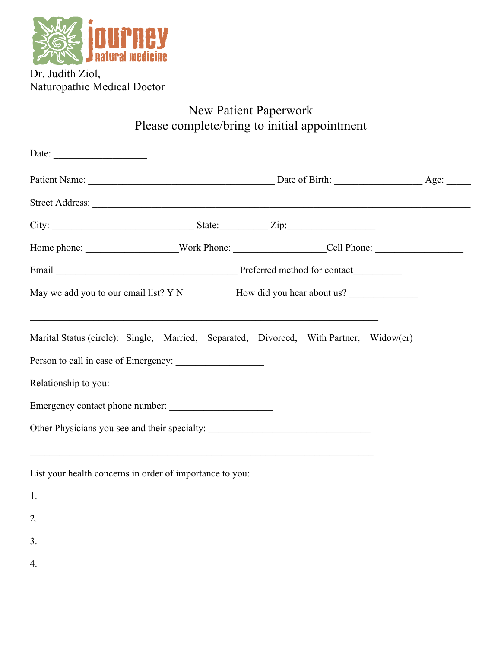

Dr. Judith Ziol, Naturopathic Medical Doctor

## New Patient Paperwork Please complete/bring to initial appointment

| Date: $\qquad \qquad$                                                                  |                                                                                   |  |  |  |
|----------------------------------------------------------------------------------------|-----------------------------------------------------------------------------------|--|--|--|
|                                                                                        |                                                                                   |  |  |  |
|                                                                                        |                                                                                   |  |  |  |
| City: $\frac{1}{\sqrt{2}}$ State: $\frac{1}{\sqrt{2}}$ Zip:                            |                                                                                   |  |  |  |
|                                                                                        |                                                                                   |  |  |  |
| Email Preferred method for contact                                                     |                                                                                   |  |  |  |
| May we add you to our email list? Y N How did you hear about us?                       |                                                                                   |  |  |  |
| Marital Status (circle): Single, Married, Separated, Divorced, With Partner, Widow(er) | ,我们也不能在这里的人,我们也不能在这里的人,我们也不能在这里的人,我们也不能在这里的人,我们也不能在这里的人,我们也不能在这里的人,我们也不能在这里的人,我们也 |  |  |  |
|                                                                                        |                                                                                   |  |  |  |
| Relationship to you:                                                                   |                                                                                   |  |  |  |
| Emergency contact phone number:                                                        |                                                                                   |  |  |  |
| Other Physicians you see and their specialty: ___________________________________      |                                                                                   |  |  |  |
|                                                                                        |                                                                                   |  |  |  |
|                                                                                        |                                                                                   |  |  |  |

List your health concerns in order of importance to you:

1.

2.

- 
- 3.
- 4.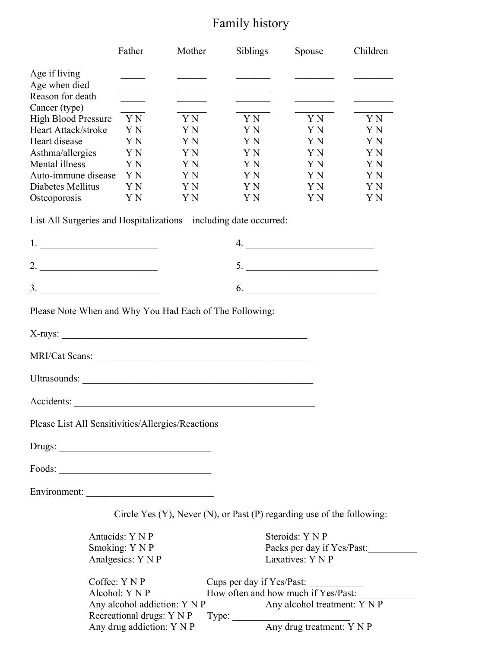# Family history

|                                                                                                                                                                                                                                                                                                                                                                                                                                                                        | Father                                                                                                                                                                                                                                                                                                                                                                                                                                                                     | Mother                                                                                  | Siblings                         | Spouse                                          | Children                                                                                                                                                                                                                             |
|------------------------------------------------------------------------------------------------------------------------------------------------------------------------------------------------------------------------------------------------------------------------------------------------------------------------------------------------------------------------------------------------------------------------------------------------------------------------|----------------------------------------------------------------------------------------------------------------------------------------------------------------------------------------------------------------------------------------------------------------------------------------------------------------------------------------------------------------------------------------------------------------------------------------------------------------------------|-----------------------------------------------------------------------------------------|----------------------------------|-------------------------------------------------|--------------------------------------------------------------------------------------------------------------------------------------------------------------------------------------------------------------------------------------|
| Age if living                                                                                                                                                                                                                                                                                                                                                                                                                                                          | $\frac{1}{2} \left( \frac{1}{2} \right) \left( \frac{1}{2} \right) \left( \frac{1}{2} \right) \left( \frac{1}{2} \right) \left( \frac{1}{2} \right) \left( \frac{1}{2} \right) \left( \frac{1}{2} \right) \left( \frac{1}{2} \right) \left( \frac{1}{2} \right) \left( \frac{1}{2} \right) \left( \frac{1}{2} \right) \left( \frac{1}{2} \right) \left( \frac{1}{2} \right) \left( \frac{1}{2} \right) \left( \frac{1}{2} \right) \left( \frac{1}{2} \right) \left( \frac$ | <u> Albanya Manazarta</u>                                                               |                                  |                                                 | <u>and the company of the company of the company of the company of the company of the company of the company of the company of the company of the company of the company of the company of the company of the company of the com</u> |
| Age when died                                                                                                                                                                                                                                                                                                                                                                                                                                                          |                                                                                                                                                                                                                                                                                                                                                                                                                                                                            |                                                                                         |                                  | <u> Alexandria de la Ca</u>                     |                                                                                                                                                                                                                                      |
| Reason for death                                                                                                                                                                                                                                                                                                                                                                                                                                                       | $\overline{\phantom{a}}$                                                                                                                                                                                                                                                                                                                                                                                                                                                   | $\mathcal{L}^{\text{max}}_{\text{max}}$ , where $\mathcal{L}^{\text{max}}_{\text{max}}$ | <u> 1990 - Johann Barnett, f</u> | <u> 1990 - Johann Barnett, fransk politiker</u> | <b>Contract Contract Contract</b>                                                                                                                                                                                                    |
| Cancer (type)                                                                                                                                                                                                                                                                                                                                                                                                                                                          |                                                                                                                                                                                                                                                                                                                                                                                                                                                                            |                                                                                         |                                  |                                                 |                                                                                                                                                                                                                                      |
| <b>High Blood Pressure</b>                                                                                                                                                                                                                                                                                                                                                                                                                                             | Y N                                                                                                                                                                                                                                                                                                                                                                                                                                                                        | Y N                                                                                     | Y N                              | Y N                                             | Y N                                                                                                                                                                                                                                  |
| Heart Attack/stroke                                                                                                                                                                                                                                                                                                                                                                                                                                                    | Y N                                                                                                                                                                                                                                                                                                                                                                                                                                                                        | Y N                                                                                     | Y N                              | Y N                                             | Y N                                                                                                                                                                                                                                  |
| Heart disease                                                                                                                                                                                                                                                                                                                                                                                                                                                          | Y N<br>Y N                                                                                                                                                                                                                                                                                                                                                                                                                                                                 | Y N<br>Y N                                                                              | Y N<br>Y N                       | Y N<br>Y N                                      | Y N<br>Y N                                                                                                                                                                                                                           |
| Asthma/allergies<br>Mental illness                                                                                                                                                                                                                                                                                                                                                                                                                                     | Y N                                                                                                                                                                                                                                                                                                                                                                                                                                                                        | Y N                                                                                     | Y N                              | Y N                                             | Y N                                                                                                                                                                                                                                  |
| Auto-immune disease                                                                                                                                                                                                                                                                                                                                                                                                                                                    | Y N                                                                                                                                                                                                                                                                                                                                                                                                                                                                        | Y N                                                                                     | Y N                              | Y N                                             | Y N                                                                                                                                                                                                                                  |
| Diabetes Mellitus                                                                                                                                                                                                                                                                                                                                                                                                                                                      | Y N                                                                                                                                                                                                                                                                                                                                                                                                                                                                        | Y N                                                                                     | Y N                              | Y N                                             | Y N                                                                                                                                                                                                                                  |
| Osteoporosis                                                                                                                                                                                                                                                                                                                                                                                                                                                           | Y N                                                                                                                                                                                                                                                                                                                                                                                                                                                                        | Y N                                                                                     | Y N                              | Y N                                             | Y N                                                                                                                                                                                                                                  |
| List All Surgeries and Hospitalizations-including date occurred:                                                                                                                                                                                                                                                                                                                                                                                                       |                                                                                                                                                                                                                                                                                                                                                                                                                                                                            |                                                                                         |                                  |                                                 |                                                                                                                                                                                                                                      |
| $1.$ $\overline{\phantom{a}}$ $\overline{\phantom{a}}$ $\overline{\phantom{a}}$ $\overline{\phantom{a}}$ $\overline{\phantom{a}}$ $\overline{\phantom{a}}$ $\overline{\phantom{a}}$ $\overline{\phantom{a}}$ $\overline{\phantom{a}}$ $\overline{\phantom{a}}$ $\overline{\phantom{a}}$ $\overline{\phantom{a}}$ $\overline{\phantom{a}}$ $\overline{\phantom{a}}$ $\overline{\phantom{a}}$ $\overline{\phantom{a}}$ $\overline{\phantom{a}}$ $\overline{\phantom{a}}$ |                                                                                                                                                                                                                                                                                                                                                                                                                                                                            |                                                                                         |                                  | 4.                                              |                                                                                                                                                                                                                                      |
|                                                                                                                                                                                                                                                                                                                                                                                                                                                                        |                                                                                                                                                                                                                                                                                                                                                                                                                                                                            |                                                                                         |                                  | 5.                                              |                                                                                                                                                                                                                                      |
|                                                                                                                                                                                                                                                                                                                                                                                                                                                                        |                                                                                                                                                                                                                                                                                                                                                                                                                                                                            |                                                                                         |                                  | 6.                                              |                                                                                                                                                                                                                                      |
| Please Note When and Why You Had Each of The Following:                                                                                                                                                                                                                                                                                                                                                                                                                |                                                                                                                                                                                                                                                                                                                                                                                                                                                                            |                                                                                         |                                  |                                                 |                                                                                                                                                                                                                                      |
| X-rays:                                                                                                                                                                                                                                                                                                                                                                                                                                                                |                                                                                                                                                                                                                                                                                                                                                                                                                                                                            |                                                                                         |                                  |                                                 |                                                                                                                                                                                                                                      |
| MRI/Cat Scans:                                                                                                                                                                                                                                                                                                                                                                                                                                                         |                                                                                                                                                                                                                                                                                                                                                                                                                                                                            |                                                                                         |                                  |                                                 |                                                                                                                                                                                                                                      |
|                                                                                                                                                                                                                                                                                                                                                                                                                                                                        |                                                                                                                                                                                                                                                                                                                                                                                                                                                                            |                                                                                         |                                  |                                                 |                                                                                                                                                                                                                                      |
| Accidents:                                                                                                                                                                                                                                                                                                                                                                                                                                                             |                                                                                                                                                                                                                                                                                                                                                                                                                                                                            |                                                                                         |                                  |                                                 |                                                                                                                                                                                                                                      |
| Please List All Sensitivities/Allergies/Reactions                                                                                                                                                                                                                                                                                                                                                                                                                      |                                                                                                                                                                                                                                                                                                                                                                                                                                                                            |                                                                                         |                                  |                                                 |                                                                                                                                                                                                                                      |
|                                                                                                                                                                                                                                                                                                                                                                                                                                                                        |                                                                                                                                                                                                                                                                                                                                                                                                                                                                            |                                                                                         |                                  |                                                 |                                                                                                                                                                                                                                      |
| $\text{Foods:}\n \underline{\hspace{2cm}}$                                                                                                                                                                                                                                                                                                                                                                                                                             |                                                                                                                                                                                                                                                                                                                                                                                                                                                                            |                                                                                         |                                  |                                                 |                                                                                                                                                                                                                                      |
|                                                                                                                                                                                                                                                                                                                                                                                                                                                                        |                                                                                                                                                                                                                                                                                                                                                                                                                                                                            |                                                                                         |                                  |                                                 |                                                                                                                                                                                                                                      |
|                                                                                                                                                                                                                                                                                                                                                                                                                                                                        |                                                                                                                                                                                                                                                                                                                                                                                                                                                                            | Circle Yes (Y), Never (N), or Past (P) regarding use of the following:                  |                                  |                                                 |                                                                                                                                                                                                                                      |

Antacids: Y N P Steroids: Y N P Smoking: Y N P<br>Analgesics: Y N P<br>Class Packs per day if Yes/Past: Analgesics: Y N P Coffee: Y N P Cups per day if Yes/Past: Alcohol: Y N P  $\overline{H}$  How often and how much if Yes/Past: Any alcohol addiction: Y N P Any alcohol treatment:  $\overline{Y} \overline{N} \overline{P}$ Recreational drugs: Y N P Type: \_\_\_\_\_\_\_\_\_\_\_\_\_\_\_\_\_\_\_\_\_\_\_\_ Any drug treatment: Y N P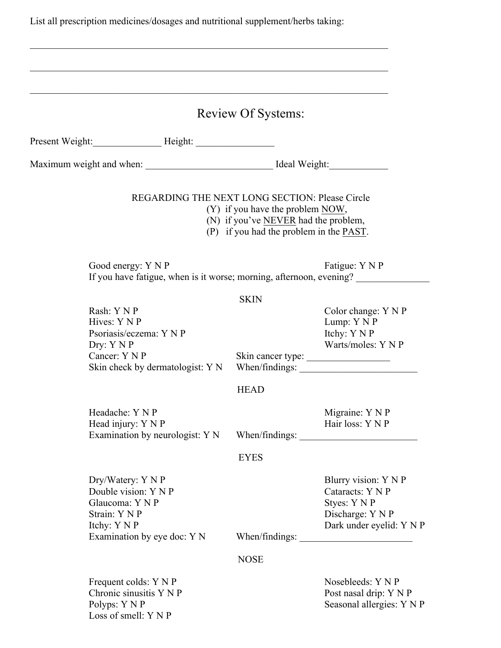List all prescription medicines/dosages and nutritional supplement/herbs taking:

|                                                                                                                              | <b>Review Of Systems:</b>                                                                                             |                                                                                                          |
|------------------------------------------------------------------------------------------------------------------------------|-----------------------------------------------------------------------------------------------------------------------|----------------------------------------------------------------------------------------------------------|
| Present Weight: Height: Height:                                                                                              |                                                                                                                       |                                                                                                          |
|                                                                                                                              |                                                                                                                       |                                                                                                          |
| REGARDING THE NEXT LONG SECTION: Please Circle                                                                               | $(Y)$ if you have the problem NOW,<br>(N) if you've NEVER had the problem,<br>(P) if you had the problem in the PAST. |                                                                                                          |
| Good energy: Y N P<br>If you have fatigue, when is it worse; morning, afternoon, evening?                                    |                                                                                                                       | Fatigue: Y N P                                                                                           |
| Rash: Y N P<br>Hives: Y N P<br>Psoriasis/eczema: Y N P<br>Dry: Y N P<br>Cancer: Y N P<br>Skin check by dermatologist: Y N    | <b>SKIN</b>                                                                                                           | Color change: Y N P<br>Lump: Y N P<br>Itchy: Y N P<br>Warts/moles: Y N P<br>Skin cancer type:            |
| Headache: Y N P<br>Head injury: Y N P                                                                                        | <b>HEAD</b>                                                                                                           | Migraine: Y N P<br>Hair loss: Y N P                                                                      |
| Examination by neurologist: Y N                                                                                              | When/findings:<br><b>EYES</b>                                                                                         |                                                                                                          |
| Dry/Watery: Y N P<br>Double vision: Y N P<br>Glaucoma: Y N P<br>Strain: Y N P<br>Itchy: Y N P<br>Examination by eye doc: Y N | When/findings:                                                                                                        | Blurry vision: Y N P<br>Cataracts: Y N P<br>Styes: Y N P<br>Discharge: Y N P<br>Dark under eyelid: Y N P |
|                                                                                                                              | <b>NOSE</b>                                                                                                           |                                                                                                          |
| Frequent colds: Y N P<br>Chronic sinusitis Y N P<br>Polyps: Y N P<br>Loss of smell: Y N P                                    |                                                                                                                       | Nosebleeds: Y N P<br>Post nasal drip: Y N P<br>Seasonal allergies: Y N P                                 |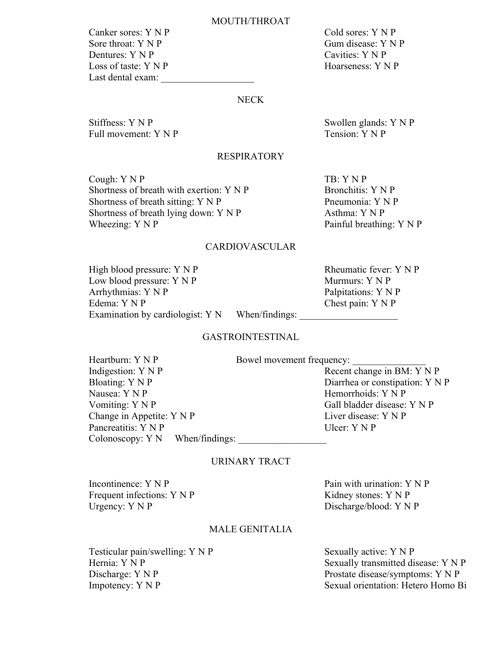#### MOUTH/THROAT

Canker sores: Y N P Cold sores: Y N P Sore throat: Y N P Gum disease: Y N P Dentures: Y N P Cavities: Y N P Loss of taste: Y N P Hoarseness: Y N P Last dental exam:

## NECK

Stiffness: Y N P<br>
Full movement: Y N P<br>
Tension: Y N P<br>
Tension: Y N P Full movement:  $Y \nN P$ 

# RESPIRATORY

Cough: Y N P TB: Y N P Shortness of breath with exertion:  $Y \cap P$  Bronchitis:  $Y \cap P$ Shortness of breath sitting:  $Y \land P$  Pneumonia:  $Y \land P$ Shortness of breath lying down:  $Y \cap P$  Asthma:  $Y \cap P$ Wheezing: Y N P Painful breathing: Y N P

#### CARDIOVASCULAR

High blood pressure: Y N P Rheumatic fever: Y N P Low blood pressure: Y N P Murmurs: Y N P Arrhythmias: Y N P<br>
Edema: Y N P<br>
Edema: Y N P<br>
Chest pain: Y N P Examination by cardiologist:  $Y \ N$  When/findings:

Chest pain:  $Y \nN P$ 

#### GASTROINTESTINAL

| Heartburn: Y N P                  | Bowel movement frequency:       |
|-----------------------------------|---------------------------------|
| Indigestion: Y N P                | Recent change in BM: Y N P      |
| Bloating: Y N P                   | Diarrhea or constipation: Y N P |
| Nausea: Y N P                     | Hemorrhoids: Y N P              |
| Vomiting: $Y \vee P$              | Gall bladder disease: Y N P     |
| Change in Appetite: Y N P         | Liver disease: Y N P            |
| Pancreatitis: Y N P               | Ulcer: $Y \nN P$                |
| Colonoscopy: $Y N$ When/findings: |                                 |

#### URINARY TRACT

Incontinence:  $Y \cap P$  Pain with urination:  $Y \cap P$ Frequent infections: Y N P Kidney stones: Y N P Urgency: Y N P Discharge/blood: Y N P

## MALE GENITALIA

Testicular pain/swelling: Y N P Sexually active: Y N P

Hernia: Y N P Sexually transmitted disease: Y N P Discharge: Y N P Prostate disease/symptoms: Y N P Impotency: Y N P Sexual orientation: Hetero Homo Bi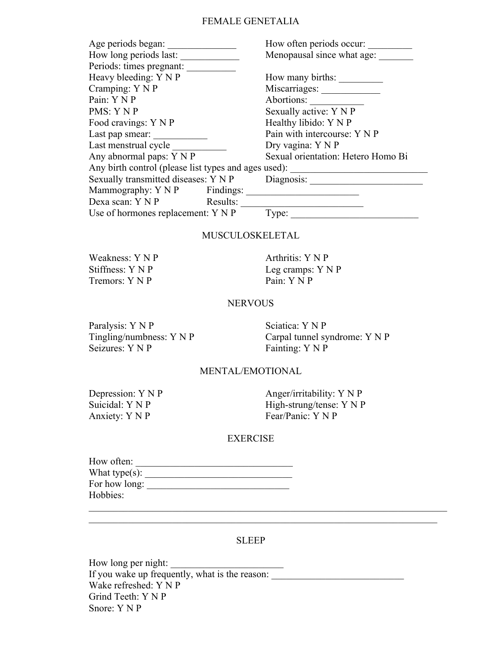## FEMALE GENETALIA

| Age periods began:                                   |  | How often periods occur:           |  |
|------------------------------------------------------|--|------------------------------------|--|
| How long periods last:                               |  | Menopausal since what age:         |  |
| Periods: times pregnant:                             |  |                                    |  |
| Heavy bleeding: Y N P                                |  | How many births:                   |  |
| Cramping: Y N P                                      |  |                                    |  |
| Pain: Y N P                                          |  | Abortions:                         |  |
| PMS: Y N P                                           |  | Sexually active: Y N P             |  |
| Food cravings: Y N P                                 |  | Healthy libido: Y N P              |  |
| Last pap smear:                                      |  | Pain with intercourse: Y N P       |  |
| Last menstrual cycle                                 |  | Dry vagina: Y N P                  |  |
| Any abnormal paps: Y N P                             |  | Sexual orientation: Hetero Homo Bi |  |
| Any birth control (please list types and ages used): |  |                                    |  |
| Sexually transmitted diseases: Y N P                 |  | Diagnosis:                         |  |
| Mammography: Y N P Findings:                         |  |                                    |  |
| Dexa scan: Y N P Results:                            |  |                                    |  |
| Use of hormones replacement: Y N P                   |  | Type:                              |  |

#### MUSCULOSKELETAL

Tremors: Y N P Pain: Y N P

Weakness: Y N P Arthritis: Y N P Stiffness: Y N P Leg cramps: Y N P

#### **NERVOUS**

Paralysis: Y N P Sciatica: Y N P

Tingling/numbness: Y N P<br>
Seizures: Y N P<br>
Fainting: Y N P<br>
Fainting: Y N P Fainting: Y N P

## MENTAL/EMOTIONAL

Anxiety: Y N P

Depression: Y N P Anger/irritability: Y N P Suicidal: Y N P<br>Anxiety: Y N P<br>Anxiety: Y N P<br>Fear/Panic: Y N P

## EXERCISE

| How often:        |  |
|-------------------|--|
| What type $(s)$ : |  |
| For how long:     |  |
| Hobbies:          |  |

#### SLEEP

\_\_\_\_\_\_\_\_\_\_\_\_\_\_\_\_\_\_\_\_\_\_\_\_\_\_\_\_\_\_\_\_\_\_\_\_\_\_\_\_\_\_\_\_\_\_\_\_\_\_\_\_\_\_\_\_\_\_\_\_\_\_\_\_\_\_\_\_\_\_\_

 $\mathcal{L}_\text{max}$  , and the contribution of the contribution of the contribution of the contribution of the contribution of the contribution of the contribution of the contribution of the contribution of the contribution of t

How long per night: If you wake up frequently, what is the reason: Wake refreshed: Y N P Grind Teeth: Y N P Snore: Y N P